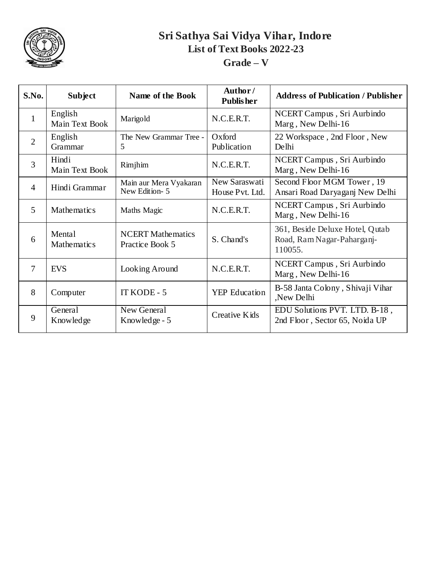

| S.No.          | <b>Subject</b>               | Name of the Book                            | Author/<br><b>Publisher</b>      | <b>Address of Publication / Publisher</b>                                |
|----------------|------------------------------|---------------------------------------------|----------------------------------|--------------------------------------------------------------------------|
| $\mathbf{1}$   | English<br>Main Text Book    | Marigold                                    | N.C.E.R.T.                       | NCERT Campus, Sri Aurbindo<br>Marg, New Delhi-16                         |
| $\overline{2}$ | English<br>Grammar           | The New Grammar Tree -<br>5                 | Oxford<br>Publication            | 22 Workspace, 2nd Floor, New<br>Delhi                                    |
| 3              | Hindi<br>Main Text Book      | Rimjhim                                     | N.C.E.R.T.                       | NCERT Campus, Sri Aurbindo<br>Marg, New Delhi-16                         |
| 4              | Hindi Grammar                | Main aur Mera Vyakaran<br>New Edition-5     | New Saraswati<br>House Pvt. Ltd. | Second Floor MGM Tower, 19<br>Ansari Road Daryaganj New Delhi            |
| 5              | <b>Mathematics</b>           | Maths Magic                                 | N.C.E.R.T.                       | NCERT Campus, Sri Aurbindo<br>Marg, New Delhi-16                         |
| 6              | Mental<br><b>Mathematics</b> | <b>NCERT Mathematics</b><br>Practice Book 5 | S. Chand's                       | 361, Beside Deluxe Hotel, Qutab<br>Road, Ram Nagar-Paharganj-<br>110055. |
| 7              | <b>EVS</b>                   | Looking Around                              | N.C.E.R.T.                       | NCERT Campus, Sri Aurbindo<br>Marg, New Delhi-16                         |
| 8              | Computer                     | IT KODE - 5                                 | <b>YEP</b> Education             | B-58 Janta Colony, Shivaji Vihar<br>New Delhi                            |
| 9              | General<br>Knowledge         | New General<br>Knowledge - 5                | Creative Kids                    | EDU Solutions PVT. LTD. B-18,<br>2nd Floor, Sector 65, Noida UP          |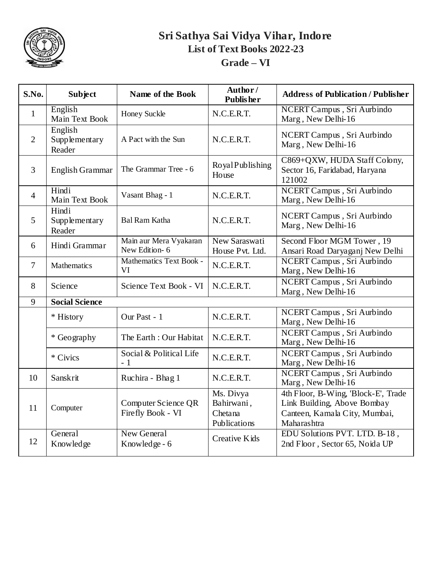

| S.No.          | <b>Subject</b>                     | Name of the Book                         | Author/<br><b>Publisher</b>                        | <b>Address of Publication / Publisher</b>                                                                          |
|----------------|------------------------------------|------------------------------------------|----------------------------------------------------|--------------------------------------------------------------------------------------------------------------------|
| $\mathbf{1}$   | English<br>Main Text Book          | Honey Suckle                             | N.C.E.R.T.                                         | NCERT Campus, Sri Aurbindo<br>Marg, New Delhi-16                                                                   |
| $\overline{2}$ | English<br>Supplementary<br>Reader | A Pact with the Sun                      | N.C.E.R.T.                                         | NCERT Campus, Sri Aurbindo<br>Marg, New Delhi-16                                                                   |
| $\overline{3}$ | English Grammar                    | The Grammar Tree - 6                     | RoyalPublishing<br>House                           | C869+QXW, HUDA Staff Colony,<br>Sector 16, Faridabad, Haryana<br>121002                                            |
| $\overline{4}$ | Hindi<br>Main Text Book            | Vasant Bhag - 1                          | N.C.E.R.T.                                         | NCERT Campus, Sri Aurbindo<br>Marg, New Delhi-16                                                                   |
| 5              | Hindi<br>Supplementary<br>Reader   | <b>Bal Ram Katha</b>                     | N.C.E.R.T.                                         | NCERT Campus, Sri Aurbindo<br>Marg, New Delhi-16                                                                   |
| 6              | Hindi Grammar                      | Main aur Mera Vyakaran<br>New Edition-6  | New Saraswati<br>House Pvt. Ltd.                   | Second Floor MGM Tower, 19<br>Ansari Road Daryaganj New Delhi                                                      |
| $\overline{7}$ | Mathematics                        | Mathematics Text Book -<br>VI            | N.C.E.R.T.                                         | NCERT Campus, Sri Aurbindo<br>Marg, New Delhi-16                                                                   |
| 8              | Science                            | Science Text Book - VI                   | N.C.E.R.T.                                         | NCERT Campus, Sri Aurbindo<br>Marg, New Delhi-16                                                                   |
| 9              | <b>Social Science</b>              |                                          |                                                    |                                                                                                                    |
|                | * History                          | Our Past - 1                             | N.C.E.R.T.                                         | NCERT Campus, Sri Aurbindo<br>Marg, New Delhi-16                                                                   |
|                | * Geography                        | The Earth: Our Habitat                   | N.C.E.R.T.                                         | NCERT Campus, Sri Aurbindo<br>Marg, New Delhi-16                                                                   |
|                | * Civics                           | Social & Political Life<br>$-1$          | N.C.E.R.T.                                         | NCERT Campus, Sri Aurbindo<br>Marg, New Delhi-16                                                                   |
| 10             | Sanskrit                           | Ruchira - Bhag 1                         | N.C.E.R.T.                                         | NCERT Campus, Sri Aurbindo<br>Marg, New Delhi-16                                                                   |
| 11             | Computer                           | Computer Science QR<br>Firefly Book - VI | Ms. Divya<br>Bahirwani,<br>Chetana<br>Publications | 4th Floor, B-Wing, 'Block-E', Trade<br>Link Building, Above Bombay<br>Canteen, Kamala City, Mumbai,<br>Maharashtra |
| 12             | General<br>Knowledge               | New General<br>Knowledge - 6             | <b>Creative Kids</b>                               | EDU Solutions PVT. LTD. B-18,<br>2nd Floor, Sector 65, Noida UP                                                    |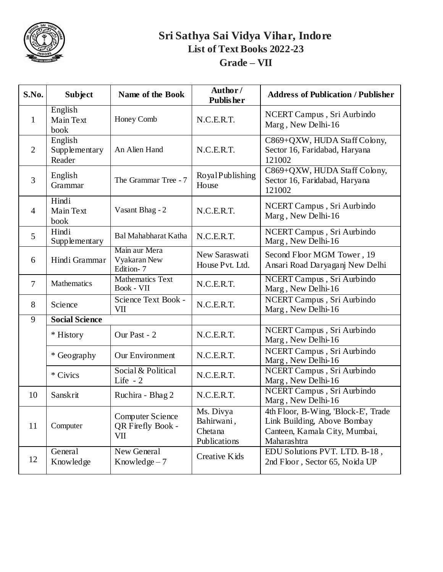

### **Sri Sathya Sai Vidya Vihar, Indore List of Text Books 2022-23 Grade – VII**

| S.No.          | <b>Subject</b>                     | Name of the Book                                    | Author/<br><b>Publisher</b>                        | <b>Address of Publication / Publisher</b>                                                                          |
|----------------|------------------------------------|-----------------------------------------------------|----------------------------------------------------|--------------------------------------------------------------------------------------------------------------------|
| 1              | English<br>Main Text<br>book       | Honey Comb                                          | N.C.E.R.T.                                         | NCERT Campus, Sri Aurbindo<br>Marg, New Delhi-16                                                                   |
| $\overline{2}$ | English<br>Supplementary<br>Reader | An Alien Hand                                       | N.C.E.R.T.                                         | C869+QXW, HUDA Staff Colony,<br>Sector 16, Faridabad, Haryana<br>121002                                            |
| 3              | English<br>Grammar                 | The Grammar Tree - 7                                | RoyalPublishing<br>House                           | C869+QXW, HUDA Staff Colony,<br>Sector 16, Faridabad, Haryana<br>121002                                            |
| $\overline{4}$ | Hindi<br>Main Text<br>book         | Vasant Bhag - 2                                     | N.C.E.R.T.                                         | NCERT Campus, Sri Aurbindo<br>Marg, New Delhi-16                                                                   |
| 5              | Hindi<br>Supplementary             | <b>Bal Mahabharat Katha</b>                         | N.C.E.R.T.                                         | NCERT Campus, Sri Aurbindo<br>Marg, New Delhi-16                                                                   |
| 6              | Hindi Grammar                      | Main aur Mera<br>Vyakaran New<br>Edition-7          | New Saraswati<br>House Pvt. Ltd.                   | Second Floor MGM Tower, 19<br>Ansari Road Daryaganj New Delhi                                                      |
| 7              | <b>Mathematics</b>                 | <b>Mathematics Text</b><br>Book - VII               | N.C.E.R.T.                                         | NCERT Campus, Sri Aurbindo<br>Marg, New Delhi-16                                                                   |
| 8              | Science                            | Science Text Book -<br>VII                          | N.C.E.R.T.                                         | NCERT Campus, Sri Aurbindo<br>Marg, New Delhi-16                                                                   |
| 9              | <b>Social Science</b>              |                                                     |                                                    |                                                                                                                    |
|                | * History                          | Our Past - 2                                        | N.C.E.R.T.                                         | NCERT Campus, Sri Aurbindo<br>Marg, New Delhi-16                                                                   |
|                | * Geography                        | Our Environment                                     | N.C.E.R.T.                                         | NCERT Campus, Sri Aurbindo<br>Marg, New Delhi-16                                                                   |
|                | * Civics                           | Social & Political<br>Life $-2$                     | N.C.E.R.T.                                         | NCERT Campus, Sri Aurbindo<br>Marg, New Delhi-16                                                                   |
| 10             | Sanskrit                           | Ruchira - Bhag 2                                    | N.C.E.R.T.                                         | NCERT Campus, Sri Aurbindo<br>Marg, New Delhi-16                                                                   |
| 11             | Computer                           | <b>Computer Science</b><br>QR Firefly Book -<br>VII | Ms. Divya<br>Bahirwani,<br>Chetana<br>Publications | 4th Floor, B-Wing, 'Block-E', Trade<br>Link Building, Above Bombay<br>Canteen, Kamala City, Mumbai,<br>Maharashtra |
| 12             | General<br>Knowledge               | New General<br>Knowledge $-7$                       | Creative Kids                                      | EDU Solutions PVT. LTD. B-18,<br>2nd Floor, Sector 65, Noida UP                                                    |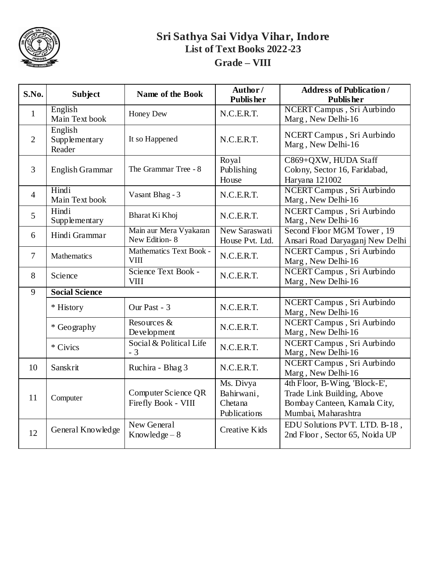

#### **Sri Sathya Sai Vidya Vihar, Indore List of Text Books 2022-23 Grade – VIII**

| S.No.          | <b>Subject</b>                     | <b>Name of the Book</b>                    | Author/<br><b>Publisher</b>                        | <b>Address of Publication /</b><br><b>Publisher</b>                                                                |
|----------------|------------------------------------|--------------------------------------------|----------------------------------------------------|--------------------------------------------------------------------------------------------------------------------|
| $\mathbf{1}$   | English<br>Main Text book          | Honey Dew                                  | N.C.E.R.T.                                         | NCERT Campus, Sri Aurbindo<br>Marg, New Delhi-16                                                                   |
| $\overline{2}$ | English<br>Supplementary<br>Reader | It so Happened                             | N.C.E.R.T.                                         | NCERT Campus, Sri Aurbindo<br>Marg, New Delhi-16                                                                   |
| 3              | <b>English Grammar</b>             | The Grammar Tree - 8                       | Royal<br>Publishing<br>House                       | C869+QXW, HUDA Staff<br>Colony, Sector 16, Faridabad,<br>Haryana 121002                                            |
| $\overline{4}$ | Hindi<br>Main Text book            | Vasant Bhag - 3                            | N.C.E.R.T.                                         | NCERT Campus, Sri Aurbindo<br>Marg, New Delhi-16                                                                   |
| 5              | Hindi<br>Supplementary             | Bharat Ki Khoj                             | N.C.E.R.T.                                         | NCERT Campus, Sri Aurbindo<br>Marg, New Delhi-16                                                                   |
| 6              | Hindi Grammar                      | Main aur Mera Vyakaran<br>New Edition-8    | New Saraswati<br>House Pvt. Ltd.                   | Second Floor MGM Tower, 19<br>Ansari Road Daryaganj New Delhi                                                      |
| $\tau$         | Mathematics                        | Mathematics Text Book -<br><b>VIII</b>     | N.C.E.R.T.                                         | NCERT Campus, Sri Aurbindo<br>Marg, New Delhi-16                                                                   |
| 8              | Science                            | Science Text Book -<br><b>VIII</b>         | N.C.E.R.T.                                         | NCERT Campus, Sri Aurbindo<br>Marg, New Delhi-16                                                                   |
| 9              | <b>Social Science</b>              |                                            |                                                    |                                                                                                                    |
|                | * History                          | Our Past - 3                               | N.C.E.R.T.                                         | NCERT Campus, Sri Aurbindo<br>Marg, New Delhi-16                                                                   |
|                | * Geography                        | Resources &<br>Development                 | N.C.E.R.T.                                         | NCERT Campus, Sri Aurbindo<br>Marg, New Delhi-16                                                                   |
|                | * Civics                           | Social & Political Life<br>$-3$            | N.C.E.R.T.                                         | NCERT Campus, Sri Aurbindo<br>Marg, New Delhi-16                                                                   |
| 10             | Sanskrit                           | Ruchira - Bhag 3                           | N.C.E.R.T.                                         | NCERT Campus, Sri Aurbindo<br>Marg, New Delhi-16                                                                   |
| 11             | Computer                           | Computer Science QR<br>Firefly Book - VIII | Ms. Divya<br>Bahirwani,<br>Chetana<br>Publications | 4th Floor, B-Wing, 'Block-E',<br>Trade Link Building, Above<br>Bombay Canteen, Kamala City,<br>Mumbai, Maharashtra |
| 12             | General Knowledge                  | New General<br>Knowledge $-8$              | Creative Kids                                      | EDU Solutions PVT. LTD. B-18,<br>2nd Floor, Sector 65, Noida UP                                                    |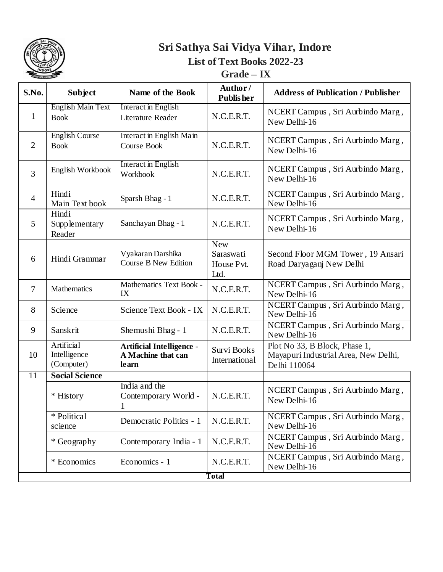

### **Grade – IX**

| S.No.          | <b>Subject</b>                                  | Name of the Book                                                | Author/<br><b>Publisher</b>                   | <b>Address of Publication / Publisher</b>                                             |  |
|----------------|-------------------------------------------------|-----------------------------------------------------------------|-----------------------------------------------|---------------------------------------------------------------------------------------|--|
| $\mathbf{1}$   | <b>English Main Text</b><br><b>Book</b>         | <b>Interact in English</b><br>Literature Reader                 | N.C.E.R.T.                                    | NCERT Campus, Sri Aurbindo Marg,<br>New Delhi-16                                      |  |
| $\overline{2}$ | <b>English Course</b><br><b>Book</b>            | Interact in English Main<br>Course Book                         | N.C.E.R.T.                                    | NCERT Campus, Sri Aurbindo Marg,<br>New Delhi-16                                      |  |
| $\overline{3}$ | English Workbook                                | <b>Interact in English</b><br>Workbook                          | N.C.E.R.T.                                    | NCERT Campus, Sri Aurbindo Marg,<br>New Delhi-16                                      |  |
| $\overline{4}$ | Hindi<br>Main Text book                         | Sparsh Bhag - 1                                                 | N.C.E.R.T.                                    | NCERT Campus, Sri Aurbindo Marg,<br>New Delhi-16                                      |  |
| 5              | Hindi<br>Supplementary<br>Reader                | Sanchayan Bhag - 1                                              | N.C.E.R.T.                                    | NCERT Campus, Sri Aurbindo Marg,<br>New Delhi-16                                      |  |
| 6              | Hindi Grammar                                   | Vyakaran Darshika<br><b>Course B New Edition</b>                | <b>New</b><br>Saraswati<br>House Pvt.<br>Ltd. | Second Floor MGM Tower, 19 Ansari<br>Road Daryaganj New Delhi                         |  |
| $\overline{7}$ | Mathematics                                     | Mathematics Text Book -<br>IX                                   | N.C.E.R.T.                                    | NCERT Campus, Sri Aurbindo Marg,<br>New Delhi-16                                      |  |
| 8              | Science                                         | Science Text Book - IX                                          | N.C.E.R.T.                                    | NCERT Campus, Sri Aurbindo Marg,<br>New Delhi-16                                      |  |
| 9              | Sanskrit                                        | Shemushi Bhag - 1                                               | N.C.E.R.T.                                    | NCERT Campus, Sri Aurbindo Marg,<br>New Delhi-16                                      |  |
| 10             | <b>Artificial</b><br>Intelligence<br>(Computer) | <b>Artificial Intelligence -</b><br>A Machine that can<br>learn | Survi Books<br>International                  | Plot No 33, B Block, Phase 1,<br>Mayapuri Industrial Area, New Delhi,<br>Delhi 110064 |  |
| 11             | <b>Social Science</b>                           |                                                                 |                                               |                                                                                       |  |
|                | * History                                       | India and the<br>Contemporary World -<br>$\mathbf{1}$           | N.C.E.R.T.                                    | NCERT Campus, Sri Aurbindo Marg,<br>New Delhi-16                                      |  |
|                | * Political<br>science                          | Democratic Politics - 1                                         | N.C.E.R.T.                                    | NCERT Campus, Sri Aurbindo Marg,<br>New Delhi-16                                      |  |
|                | * Geography                                     | Contemporary India - 1                                          | N.C.E.R.T.                                    | NCERT Campus, Sri Aurbindo Marg,<br>New Delhi-16                                      |  |
|                | * Economics                                     | Economics - 1                                                   | N.C.E.R.T.                                    | NCERT Campus, Sri Aurbindo Marg,<br>New Delhi-16                                      |  |
|                | <b>Total</b>                                    |                                                                 |                                               |                                                                                       |  |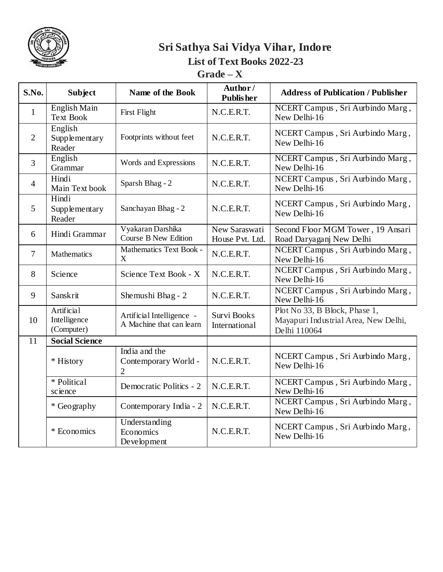

 $Grade - X$ 

| S.No.          | <b>Subject</b>                           | Name of the Book                                        | Author/<br><b>Publisher</b>      | <b>Address of Publication / Publisher</b>                                             |
|----------------|------------------------------------------|---------------------------------------------------------|----------------------------------|---------------------------------------------------------------------------------------|
| $\mathbf{1}$   | English Main<br><b>Text Book</b>         | First Flight                                            | N.C.E.R.T.                       | NCERT Campus, Sri Aurbindo Marg,<br>New Delhi-16                                      |
| $\overline{2}$ | English<br>Supplementary<br>Reader       | Footprints without feet                                 | N.C.E.R.T.                       | NCERT Campus, Sri Aurbindo Marg,<br>New Delhi-16                                      |
| 3              | English<br>Grammar                       | Words and Expressions                                   | N.C.E.R.T.                       | NCERT Campus, Sri Aurbindo Marg,<br>New Delhi-16                                      |
| $\overline{4}$ | Hindi<br>Main Text book                  | Sparsh Bhag - 2                                         | N.C.E.R.T.                       | NCERT Campus, Sri Aurbindo Marg,<br>New Delhi-16                                      |
| 5              | Hindi<br>Supplementary<br>Reader         | Sanchayan Bhag - 2                                      | N.C.E.R.T.                       | NCERT Campus, Sri Aurbindo Marg,<br>New Delhi-16                                      |
| 6              | Hindi Grammar                            | Vyakaran Darshika<br><b>Course B New Edition</b>        | New Saraswati<br>House Pvt. Ltd. | Second Floor MGM Tower, 19 Ansari<br>Road Daryaganj New Delhi                         |
| $\overline{7}$ | Mathematics                              | Mathematics Text Book -<br>X                            | N.C.E.R.T.                       | NCERT Campus, Sri Aurbindo Marg,<br>New Delhi-16                                      |
| 8              | Science                                  | Science Text Book - X                                   | N.C.E.R.T.                       | NCERT Campus, Sri Aurbindo Marg,<br>New Delhi-16                                      |
| 9              | Sanskrit                                 | Shemushi Bhag - 2                                       | N.C.E.R.T.                       | NCERT Campus, Sri Aurbindo Marg,<br>New Delhi-16                                      |
| 10             | Artificial<br>Intelligence<br>(Computer) | Artificial Intelligence -<br>A Machine that can learn   | Survi Books<br>International     | Plot No 33, B Block, Phase 1,<br>Mayapuri Industrial Area, New Delhi,<br>Delhi 110064 |
| 11             | <b>Social Science</b>                    |                                                         |                                  |                                                                                       |
|                | * History                                | India and the<br>Contemporary World -<br>$\overline{2}$ | N.C.E.R.T.                       | NCERT Campus, Sri Aurbindo Marg,<br>New Delhi-16                                      |
|                | * Political<br>science                   | Democratic Politics - 2                                 | N.C.E.R.T.                       | NCERT Campus, Sri Aurbindo Marg,<br>New Delhi-16                                      |
|                | * Geography                              | Contemporary India - 2                                  | N.C.E.R.T.                       | NCERT Campus, Sri Aurbindo Marg,<br>New Delhi-16                                      |
|                | * Economics                              | Understanding<br>Economics<br>Development               | N.C.E.R.T.                       | NCERT Campus, Sri Aurbindo Marg,<br>New Delhi-16                                      |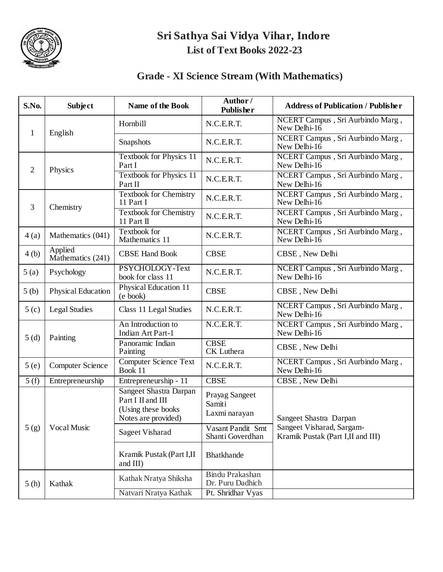

### **Grade - XI Science Stream (With Mathematics)**

| S.No.            | <b>Subject</b>               | <b>Name of the Book</b>                                                                          | Author/<br><b>Publisher</b>               | <b>Address of Publication / Publisher</b>                      |
|------------------|------------------------------|--------------------------------------------------------------------------------------------------|-------------------------------------------|----------------------------------------------------------------|
| $\mathbf{1}$     | English                      | Hornbill                                                                                         | N.C.E.R.T.                                | NCERT Campus, Sri Aurbindo Marg,<br>New Delhi- $16$            |
|                  |                              | Snapshots                                                                                        | N.C.E.R.T.                                | NCERT Campus, Sri Aurbindo Marg,<br>New Delhi-16               |
| $\overline{2}$   | Physics                      | <b>Textbook for Physics 11</b><br>Part I                                                         | N.C.E.R.T.                                | NCERT Campus, Sri Aurbindo Marg,<br>New Delhi-16               |
|                  |                              | <b>Textbook for Physics 11</b><br>Part II                                                        | N.C.E.R.T.                                | NCERT Campus, Sri Aurbindo Marg,<br>New Delhi-16               |
| 3                | Chemistry                    | <b>Textbook for Chemistry</b><br>11 Part I                                                       | N.C.E.R.T.                                | NCERT Campus, Sri Aurbindo Marg,<br>New Delhi-16               |
|                  |                              | <b>Textbook for Chemistry</b><br>11 Part II                                                      | N.C.E.R.T.                                | NCERT Campus, Sri Aurbindo Marg,<br>New Delhi-16               |
| 4(a)             | Mathematics (041)            | Textbook for<br>Mathematics 11                                                                   | N.C.E.R.T.                                | NCERT Campus, Sri Aurbindo Marg,<br>New Delhi- $16$            |
| 4(b)             | Applied<br>Mathematics (241) | <b>CBSE Hand Book</b>                                                                            | <b>CBSE</b>                               | CBSE, New Delhi                                                |
| 5(a)             | Psychology                   | PSYCHOLOGY-Text<br>book for class 11                                                             | N.C.E.R.T.                                | NCERT Campus, Sri Aurbindo Marg,<br>New Delhi-16               |
| 5(b)             | <b>Physical Education</b>    | <b>Physical Education 11</b><br>(e book)                                                         | <b>CBSE</b>                               | CBSE, New Delhi                                                |
| 5 <sub>(c)</sub> | Legal Studies                | Class 11 Legal Studies                                                                           | N.C.E.R.T.                                | NCERT Campus, Sri Aurbindo Marg,<br>New Delhi-16               |
|                  |                              | An Introduction to<br><b>Indian Art Part-1</b>                                                   | N.C.E.R.T.                                | NCERT Campus, Sri Aurbindo Marg,<br>New Delhi-16               |
| 5(d)             | Painting                     | Panoramic Indian<br>Painting                                                                     | <b>CBSE</b><br>CK Luthera                 | CBSE, New Delhi                                                |
| 5(e)             | <b>Computer Science</b>      | <b>Computer Science Text</b><br>Book 11                                                          | N.C.E.R.T.                                | NCERT Campus, Sri Aurbindo Marg,<br>New Delhi-16               |
| 5(f)             | Entrepreneurship             | Entrepreneurship - 11                                                                            | <b>CBSE</b>                               | CBSE, New Delhi                                                |
|                  |                              | <b>Sangeet Shastra Darpan</b><br>Part I II and III<br>(Using these books)<br>Notes are provided) | Prayag Sangeet<br>Samiti<br>Laxmi narayan | Sangeet Shastra Darpan                                         |
| 5(g)             | Vocal Music                  | Sageet Visharad                                                                                  | Vasant Pandit Smt<br>Shanti Goverdhan     | Sangeet Visharad, Sargam-<br>Kramik Pustak (Part I,II and III) |
|                  |                              | Kramik Pustak (Part I,II<br>and III)                                                             | <b>Bhatkhande</b>                         |                                                                |
| 5(h)             | Kathak                       | Kathak Nratya Shiksha                                                                            | Bindu Prakashan<br>Dr. Puru Dadhich       |                                                                |
|                  |                              | Natvari Nratya Kathak                                                                            | Pt. Shridhar Vyas                         |                                                                |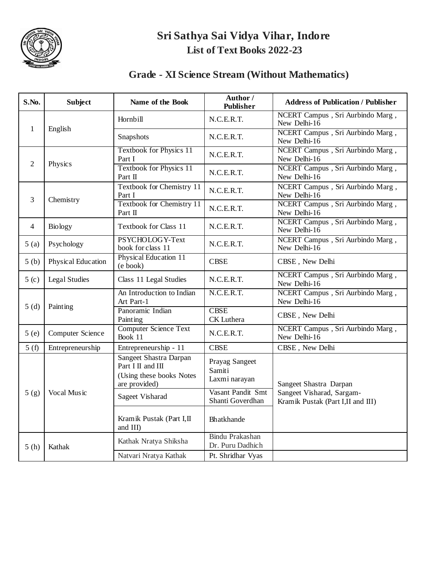

#### **Grade - XI Science Stream (Without Mathematics)**

| S.No.            | <b>Subject</b>       | Name of the Book                                                                                | Author /<br><b>Publisher</b>               | <b>Address of Publication / Publisher</b>                       |
|------------------|----------------------|-------------------------------------------------------------------------------------------------|--------------------------------------------|-----------------------------------------------------------------|
|                  |                      | Hornbill                                                                                        | N.C.E.R.T.                                 | NCERT Campus, Sri Aurbindo Marg,<br>New Delhi-16                |
| $\mathbf{1}$     | English              | Snapshots                                                                                       | N.C.E.R.T.                                 | NCERT Campus, Sri Aurbindo Marg,<br>New Delhi-16                |
| 2                | Physics              | <b>Textbook for Physics 11</b><br>Part I                                                        | N.C.E.R.T.                                 | NCERT Campus, Sri Aurbindo Marg,<br>New Delhi-16                |
|                  |                      | <b>Textbook for Physics 11</b><br>Part II                                                       | N.C.E.R.T.                                 | NCERT Campus, Sri Aurbindo Marg,<br>New Delhi-16                |
|                  | Chemistry            | Textbook for Chemistry 11<br>Part I                                                             | N.C.E.R.T.                                 | NCERT Campus, Sri Aurbindo Marg,<br>New Delhi-16                |
| 3                |                      | <b>Textbook for Chemistry 11</b><br>Part II                                                     | N.C.E.R.T.                                 | NCERT Campus, Sri Aurbindo Marg,<br>New Delhi-16                |
| 4                | <b>Biology</b>       | <b>Textbook for Class 11</b>                                                                    | N.C.E.R.T.                                 | NCERT Campus, Sri Aurbindo Marg,<br>New Delhi-16                |
| 5(a)             | Psychology           | PSYCHOLOGY-Text<br>book for class 11                                                            | N.C.E.R.T.                                 | NCERT Campus, Sri Aurbindo Marg,<br>New Delhi-16                |
| 5(b)             | Physical Education   | Physical Education 11<br>(e book)                                                               | <b>CBSE</b>                                | CBSE, New Delhi                                                 |
| 5 <sub>(c)</sub> | <b>Legal Studies</b> | Class 11 Legal Studies                                                                          | N.C.E.R.T.                                 | NCERT Campus, Sri Aurbindo Marg,<br>New Delhi-16                |
|                  | Painting             | An Introduction to Indian<br>Art Part-1                                                         | N.C.E.R.T.                                 | NCERT Campus, Sri Aurbindo Marg,<br>New Delhi-16                |
| 5(d)             |                      | Panoramic Indian<br>Painting                                                                    | <b>CBSE</b><br><b>CK</b> Luthera           | CBSE, New Delhi                                                 |
| 5(e)             | Computer Science     | <b>Computer Science Text</b><br>Book 11                                                         | N.C.E.R.T.                                 | NCERT Campus, Sri Aurbindo Marg,<br>New Delhi-16                |
| 5(f)             | Entrepreneurship     | Entrepreneurship - 11                                                                           | <b>CBSE</b>                                | CBSE, New Delhi                                                 |
|                  |                      | <b>Sangeet Shastra Darpan</b><br>Part I II and III<br>(Using these books Notes<br>are provided) | Prayag Sangeet<br>Samiti<br>Laxmi narayan  | Sangeet Shastra Darpan                                          |
| 5(g)             | Vocal Music          | <b>Sageet Visharad</b>                                                                          | Vasant Pandit Smt<br>Shanti Goverdhan      | Sangeet Visharad, Sargam-<br>Kramik Pustak (Part I, II and III) |
|                  |                      | Kramik Pustak (Part I,II<br>and III)                                                            | Bhatkhande                                 |                                                                 |
| 5(h)             | Kathak               | Kathak Nratya Shiksha                                                                           | <b>Bindu Prakashan</b><br>Dr. Puru Dadhich |                                                                 |
|                  |                      | Natvari Nratya Kathak                                                                           | Pt. Shridhar Vyas                          |                                                                 |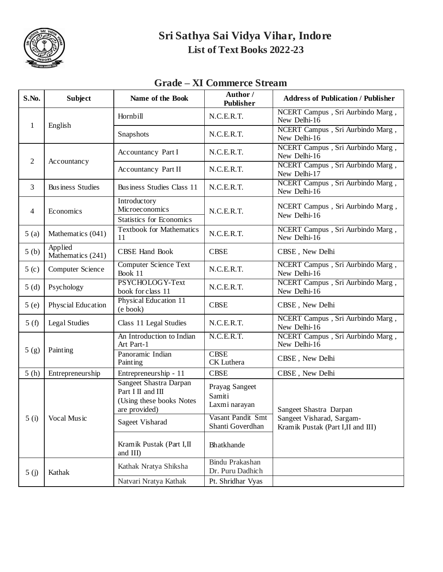

### **Grade – XI Commerce Stream**

| S.No.            | <b>Subject</b>               | Name of the Book                                                                         | Author /<br><b>Publisher</b>               | <b>Address of Publication / Publisher</b>                       |
|------------------|------------------------------|------------------------------------------------------------------------------------------|--------------------------------------------|-----------------------------------------------------------------|
|                  |                              | Hornbill                                                                                 | N.C.E.R.T.                                 | NCERT Campus, Sri Aurbindo Marg,<br>New Delhi-16                |
| 1                | English                      | Snapshots                                                                                | N.C.E.R.T.                                 | NCERT Campus, Sri Aurbindo Marg,<br>New Delhi-16                |
| 2                |                              | Accountancy Part I                                                                       | N.C.E.R.T.                                 | NCERT Campus, Sri Aurbindo Marg,<br>New Delhi-16                |
|                  | Accountancy                  | <b>Accountancy Part II</b>                                                               | N.C.E.R.T.                                 | NCERT Campus, Sri Aurbindo Marg,<br>New Delhi-17                |
| 3                | <b>Business Studies</b>      | Business Studies Class 11                                                                | N.C.E.R.T.                                 | NCERT Campus, Sri Aurbindo Marg,<br>New Delhi-16                |
| $\overline{4}$   | Economics                    | Introductory<br><b>Microeconomics</b><br><b>Statistics for Economics</b>                 | N.C.E.R.T.                                 | NCERT Campus, Sri Aurbindo Marg,<br>New Delhi-16                |
| 5(a)             | Mathematics (041)            | <b>Textbook for Mathematics</b><br>11                                                    | N.C.E.R.T.                                 | NCERT Campus, Sri Aurbindo Marg,<br>New Delhi-16                |
| 5(b)             | Applied<br>Mathematics (241) | <b>CBSE Hand Book</b>                                                                    | <b>CBSE</b>                                | CBSE, New Delhi                                                 |
| 5 <sub>(c)</sub> | Computer Science             | <b>Computer Science Text</b><br>Book 11                                                  | N.C.E.R.T.                                 | NCERT Campus, Sri Aurbindo Marg,<br>New Delhi-16                |
| 5(d)             | Psychology                   | PSYCHOLOGY-Text<br>book for class 11                                                     | N.C.E.R.T.                                 | NCERT Campus, Sri Aurbindo Marg,<br>New Delhi-16                |
| 5(e)             | Physcial Education           | Physical Education 11<br>(e book)                                                        | <b>CBSE</b>                                | CBSE, New Delhi                                                 |
| 5(f)             | <b>Legal Studies</b>         | Class 11 Legal Studies                                                                   | N.C.E.R.T.                                 | NCERT Campus, Sri Aurbindo Marg,<br>New Delhi-16                |
|                  |                              | An Introduction to Indian<br>Art Part-1                                                  | N.C.E.R.T.                                 | NCERT Campus, Sri Aurbindo Marg,<br>New Delhi-16                |
| 5(g)             | Painting                     | Panoramic Indian<br>Painting                                                             | <b>CBSE</b><br>CK Luthera                  | CBSE, New Delhi                                                 |
| 5(h)             | Entrepreneurship             | Entrepreneurship - 11                                                                    | <b>CBSE</b>                                | CBSE, New Delhi                                                 |
|                  |                              | Sangeet Shastra Darpan<br>Part I II and III<br>(Using these books Notes<br>are provided) | Prayag Sangeet<br>Samiti<br>Laxmi narayan  | Sangeet Shastra Darpan                                          |
| 5(i)             | Vocal Music                  | Sageet Visharad                                                                          | Vasant Pandit Smt<br>Shanti Goverdhan      | Sangeet Visharad, Sargam-<br>Kramik Pustak (Part I, II and III) |
|                  |                              | Kramik Pustak (Part I,II<br>and III)                                                     | Bhatkhande                                 |                                                                 |
| 5(j)             | Kathak                       | Kathak Nratya Shiksha                                                                    | <b>Bindu Prakashan</b><br>Dr. Puru Dadhich |                                                                 |
|                  |                              | Natvari Nratya Kathak                                                                    | Pt. Shridhar Vyas                          |                                                                 |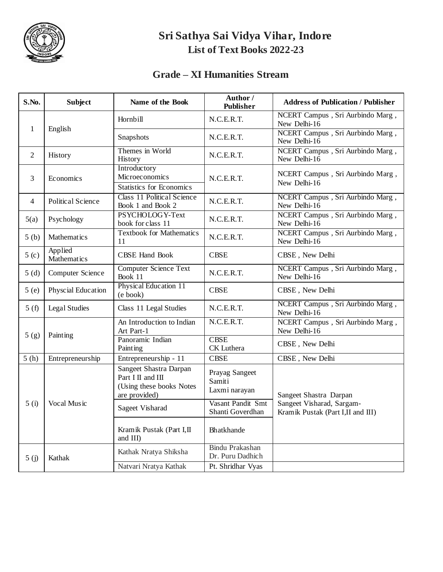

#### **Grade – XI Humanities Stream**

| S.No.            | <b>Subject</b>           | Name of the Book                                                                         | Author /<br><b>Publisher</b>               | <b>Address of Publication / Publisher</b>                      |
|------------------|--------------------------|------------------------------------------------------------------------------------------|--------------------------------------------|----------------------------------------------------------------|
|                  |                          | Hornbill                                                                                 | N.C.E.R.T.                                 | NCERT Campus, Sri Aurbindo Marg,<br>New Delhi-16               |
|                  | $\mathbf{1}$<br>English  | Snapshots                                                                                | N.C.E.R.T.                                 | NCERT Campus, Sri Aurbindo Marg,<br>New Delhi-16               |
| 2                | History                  | Themes in World<br>History                                                               | N.C.E.R.T.                                 | NCERT Campus, Sri Aurbindo Marg,<br>New Delhi-16               |
| 3                | Economics                | Introductory<br>Microeconomics<br><b>Statistics for Economics</b>                        | N.C.E.R.T.                                 | NCERT Campus, Sri Aurbindo Marg,<br>New Delhi-16               |
| 4                | <b>Political Science</b> | <b>Class 11 Political Science</b><br>Book 1 and Book 2                                   | N.C.E.R.T.                                 | NCERT Campus, Sri Aurbindo Marg,<br>New Delhi-16               |
| 5(a)             | Psychology               | PSYCHOLOGY-Text<br>book for class 11                                                     | N.C.E.R.T.                                 | NCERT Campus, Sri Aurbindo Marg,<br>New Delhi-16               |
| 5(b)             | Mathematics              | <b>Textbook for Mathematics</b><br>11                                                    | N.C.E.R.T.                                 | NCERT Campus, Sri Aurbindo Marg,<br>New Delhi-16               |
| 5 <sub>(c)</sub> | Applied<br>Mathematics   | <b>CBSE Hand Book</b>                                                                    | <b>CBSE</b>                                | CBSE, New Delhi                                                |
| 5(d)             | Computer Science         | <b>Computer Science Text</b><br>Book 11                                                  | N.C.E.R.T.                                 | NCERT Campus, Sri Aurbindo Marg,<br>New Delhi-16               |
| 5(e)             | Physcial Education       | Physical Education 11<br>(e book)                                                        | <b>CBSE</b>                                | CBSE, New Delhi                                                |
| 5(f)             | <b>Legal Studies</b>     | Class 11 Legal Studies                                                                   | N.C.E.R.T.                                 | NCERT Campus, Sri Aurbindo Marg,<br>New Delhi-16               |
|                  | Painting                 | An Introduction to Indian<br>Art Part-1                                                  | N.C.E.R.T.                                 | NCERT Campus, Sri Aurbindo Marg,<br>New Delhi-16               |
| 5(g)             |                          | Panoramic Indian<br>Painting                                                             | <b>CBSE</b><br>CK Luthera                  | CBSE, New Delhi                                                |
| 5(h)             | Entrepreneurship         | Entrepreneurship - 11                                                                    | <b>CBSE</b>                                | CBSE, New Delhi                                                |
|                  |                          | Sangeet Shastra Darpan<br>Part I II and III<br>(Using these books Notes<br>are provided) | Prayag Sangeet<br>Samiti<br>Laxmi narayan  | Sangeet Shastra Darpan                                         |
| 5(i)             | Vocal Music              | Sageet Visharad                                                                          | Vasant Pandit Smt<br>Shanti Goverdhan      | Sangeet Visharad, Sargam-<br>Kramik Pustak (Part I,II and III) |
|                  |                          | Kramik Pustak (Part I,II<br>and III)                                                     | Bhatkhande                                 |                                                                |
| 5(j)             | Kathak                   | Kathak Nratya Shiksha                                                                    | <b>Bindu Prakashan</b><br>Dr. Puru Dadhich |                                                                |
|                  |                          | Natvari Nratya Kathak                                                                    | Pt. Shridhar Vyas                          |                                                                |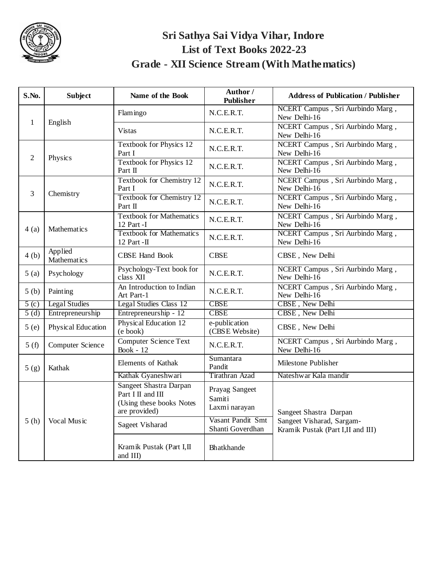

## **Sri Sathya Sai Vidya Vihar, Indore List of Text Books 2022-23 Grade - XII Science Stream (With Mathematics)**

| S.No.            | <b>Subject</b>         | Name of the Book                                                                                | Author /<br>Publisher                     | <b>Address of Publication / Publisher</b>                      |
|------------------|------------------------|-------------------------------------------------------------------------------------------------|-------------------------------------------|----------------------------------------------------------------|
|                  |                        | Flamingo                                                                                        | N.C.E.R.T.                                | NCERT Campus, Sri Aurbindo Marg,<br>New Delhi-16               |
| $\mathbf{1}$     | English                | <b>Vistas</b>                                                                                   | N.C.E.R.T.                                | NCERT Campus, Sri Aurbindo Marg,<br>New Delhi-16               |
| $\overline{c}$   | Physics                | <b>Textbook for Physics 12</b><br>Part I                                                        | N.C.E.R.T.                                | NCERT Campus, Sri Aurbindo Marg,<br>New Delhi-16               |
|                  |                        | Textbook for Physics 12<br>Part II                                                              | N.C.E.R.T.                                | NCERT Campus, Sri Aurbindo Marg,<br>New Delhi-16               |
| 3                | Chemistry              | <b>Textbook for Chemistry 12</b><br>Part I                                                      | N.C.E.R.T.                                | NCERT Campus, Sri Aurbindo Marg,<br>New Delhi-16               |
|                  |                        | <b>Textbook for Chemistry 12</b><br>Part II                                                     | N.C.E.R.T.                                | NCERT Campus, Sri Aurbindo Marg,<br>New Delhi-16               |
| 4(a)             | <b>Mathematics</b>     | <b>Textbook for Mathematics</b><br>12 Part -I                                                   | N.C.E.R.T.                                | NCERT Campus, Sri Aurbindo Marg,<br>New Delhi-16               |
|                  |                        | <b>Textbook for Mathematics</b><br>12 Part -II                                                  | N.C.E.R.T.                                | NCERT Campus, Sri Aurbindo Marg,<br>New Delhi-16               |
| 4(b)             | Applied<br>Mathematics | <b>CBSE Hand Book</b>                                                                           | <b>CBSE</b>                               | CBSE, New Delhi                                                |
| 5(a)             | Psychology             | Psychology-Text book for<br>class XII                                                           | N.C.E.R.T.                                | NCERT Campus, Sri Aurbindo Marg,<br>New Delhi-16               |
| 5(b)             | Painting               | An Introduction to Indian<br>Art Part-1                                                         | N.C.E.R.T.                                | NCERT Campus, Sri Aurbindo Marg,<br>New Delhi-16               |
| 5 <sub>(c)</sub> | <b>Legal Studies</b>   | <b>Legal Studies Class 12</b>                                                                   | <b>CBSE</b>                               | CBSE, New Delhi                                                |
| 5(d)             | Entrepreneurship       | Entrepreneurship - 12                                                                           | <b>CBSE</b>                               | CBSE, New Delhi                                                |
| 5(e)             | Physical Education     | <b>Physical Education 12</b><br>(e book)                                                        | e-publication<br>(CBSE Website)           | CBSE, New Delhi                                                |
| 5(f)             | Computer Science       | <b>Computer Science Text</b><br>Book - $12$                                                     | N.C.E.R.T.                                | NCERT Campus, Sri Aurbindo Marg,<br>New Delhi-16               |
| 5(g)             | Kathak                 | Elements of Kathak                                                                              | Sumantara<br>Pandit                       | Milestone Publisher                                            |
|                  |                        | Kathak Gyaneshwari                                                                              | Tirathran Azad                            | Nateshwar Kala mandir                                          |
|                  |                        | <b>Sangeet Shastra Darpan</b><br>Part I II and III<br>(Using these books Notes<br>are provided) | Prayag Sangeet<br>Samiti<br>Laxmi narayan | Sangeet Shastra Darpan                                         |
| 5(h)             | Vocal Music            | <b>Sageet Visharad</b>                                                                          | Vasant Pandit Smt<br>Shanti Goverdhan     | Sangeet Visharad, Sargam-<br>Kramik Pustak (Part I,II and III) |
|                  |                        | Kramik Pustak (Part I,II<br>and III)                                                            | Bhatkhande                                |                                                                |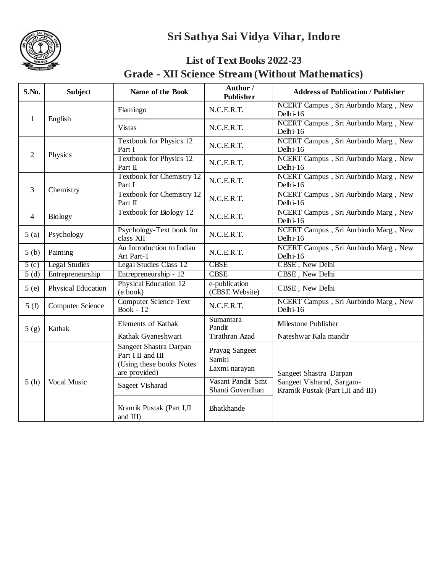## **Sri Sathya Sai Vidya Vihar, Indore**



#### **List of Text Books 2022-23 Grade - XII Science Stream (Without Mathematics)**

| S.No.          | <b>Subject</b>       | Name of the Book                                                                         | Author /<br><b>Publisher</b>              | <b>Address of Publication / Publisher</b>                       |
|----------------|----------------------|------------------------------------------------------------------------------------------|-------------------------------------------|-----------------------------------------------------------------|
| $\mathbf{1}$   |                      | Flamingo                                                                                 | N.C.E.R.T.                                | NCERT Campus, Sri Aurbindo Marg, New<br>Delhi-16                |
|                | English              | <b>Vistas</b>                                                                            | N.C.E.R.T.                                | NCERT Campus, Sri Aurbindo Marg, New<br>Delhi-16                |
| 2              |                      | Textbook for Physics 12<br>Part I                                                        | N.C.E.R.T.                                | NCERT Campus, Sri Aurbindo Marg, New<br>Delhi-16                |
|                | Physics              | <b>Textbook for Physics 12</b><br>Part II                                                | N.C.E.R.T.                                | NCERT Campus, Sri Aurbindo Marg, New<br>Delhi-16                |
| 3              | Chemistry            | <b>Textbook for Chemistry 12</b><br>Part I                                               | N.C.E.R.T.                                | NCERT Campus, Sri Aurbindo Marg, New<br>Delhi-16                |
|                |                      | <b>Textbook for Chemistry 12</b><br>Part II                                              | N.C.E.R.T.                                | NCERT Campus, Sri Aurbindo Marg, New<br>Delhi-16                |
| $\overline{4}$ | <b>Biology</b>       | Textbook for Biology 12                                                                  | N.C.E.R.T.                                | NCERT Campus, Sri Aurbindo Marg, New<br>Delhi-16                |
| 5(a)           | Psychology           | Psychology-Text book for<br>class XII                                                    | N.C.E.R.T.                                | NCERT Campus, Sri Aurbindo Marg, New<br>Delhi-16                |
| 5(b)           | Painting             | An Introduction to Indian<br>Art Part-1                                                  | N.C.E.R.T.                                | NCERT Campus, Sri Aurbindo Marg, New<br>Delhi-16                |
| $5($ c $)$     | <b>Legal Studies</b> | <b>Legal Studies Class 12</b>                                                            | <b>CBSE</b>                               | CBSE, New Delhi                                                 |
| 5(d)           | Entrepreneurship     | Entrepreneurship - 12                                                                    | <b>CBSE</b>                               | CBSE, New Delhi                                                 |
| 5(e)           | Physical Education   | Physical Education 12<br>$(e \text{ book})$                                              | e-publication<br>(CBSE Website)           | CBSE, New Delhi                                                 |
| 5(f)           | Computer Science     | <b>Computer Science Text</b><br><b>Book</b> - 12                                         | N.C.E.R.T.                                | NCERT Campus, Sri Aurbindo Marg, New<br>Delhi-16                |
| 5(g)           | Kathak               | Elements of Kathak                                                                       | Sumantara<br>Pandit                       | Milestone Publisher                                             |
|                |                      | Kathak Gyaneshwari                                                                       | Tirathran Azad                            | Nateshwar Kala mandir                                           |
|                |                      | Sangeet Shastra Darpan<br>Part I II and III<br>(Using these books Notes<br>are provided) | Prayag Sangeet<br>Samiti<br>Laxmi narayan | Sangeet Shastra Darpan                                          |
| 5(h)           | Vocal Music          | Sageet Visharad                                                                          | Vasant Pandit Smt<br>Shanti Goverdhan     | Sangeet Visharad, Sargam-<br>Kramik Pustak (Part I, II and III) |
|                |                      | Kramik Pustak (Part I,II<br>and III)                                                     | Bhatkhande                                |                                                                 |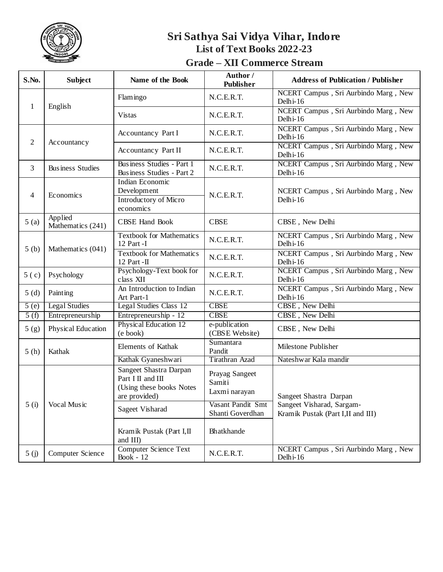

### **Grade – XII Commerce Stream**

| S.No.          | <b>Subject</b>               | Name of the Book                                                                         | Author /<br><b>Publisher</b>              | <b>Address of Publication / Publisher</b>                                                 |
|----------------|------------------------------|------------------------------------------------------------------------------------------|-------------------------------------------|-------------------------------------------------------------------------------------------|
| 1              | English                      | Flamingo                                                                                 | N.C.E.R.T.                                | NCERT Campus, Sri Aurbindo Marg, New<br>Delhi-16                                          |
|                |                              | <b>Vistas</b>                                                                            | N.C.E.R.T.                                | NCERT Campus, Sri Aurbindo Marg, New<br>Delhi-16                                          |
| $\overline{2}$ | Accountancy                  | Accountancy Part I                                                                       | N.C.E.R.T.                                | NCERT Campus, Sri Aurbindo Marg, New<br>Delhi-16                                          |
|                |                              | Accountancy Part II                                                                      | N.C.E.R.T.                                | NCERT Campus, Sri Aurbindo Marg, New<br>Delhi-16                                          |
| 3              | <b>Business Studies</b>      | Business Studies - Part 1<br>Business Studies - Part 2                                   | N.C.E.R.T.                                | NCERT Campus, Sri Aurbindo Marg, New<br>Delhi-16                                          |
| 4              | Economics                    | Indian Economic<br>Development<br>Introductory of Micro<br>economics                     | N.C.E.R.T.                                | NCERT Campus, Sri Aurbindo Marg, New<br>Delhi-16                                          |
| 5(a)           | Applied<br>Mathematics (241) | <b>CBSE Hand Book</b>                                                                    | <b>CBSE</b>                               | CBSE, New Delhi                                                                           |
| 5(b)           | Mathematics (041)            | <b>Textbook for Mathematics</b><br>12 Part -I                                            | N.C.E.R.T.                                | NCERT Campus, Sri Aurbindo Marg, New<br>Delhi-16                                          |
|                |                              | <b>Textbook for Mathematics</b><br>12 Part - $\Pi$                                       | N.C.E.R.T.                                | NCERT Campus, Sri Aurbindo Marg, New<br>Delhi-16                                          |
| 5(c)           | Psychology                   | Psychology-Text book for<br>class XII                                                    | N.C.E.R.T.                                | NCERT Campus, Sri Aurbindo Marg, New<br>Delhi-16                                          |
| 5(d)           | Painting                     | An Introduction to Indian<br>Art Part-1                                                  | N.C.E.R.T.                                | NCERT Campus, Sri Aurbindo Marg, New<br>Delhi-16                                          |
| 5(e)           | <b>Legal Studies</b>         | <b>Legal Studies Class 12</b>                                                            | <b>CBSE</b>                               | CBSE, New Delhi                                                                           |
| 5(f)           | Entrepreneurship             | Entrepreneurship - 12                                                                    | <b>CBSE</b>                               | CBSE, New Delhi                                                                           |
| 5(g)           | Physical Education           | <b>Physical Education 12</b><br>(e book)                                                 | e-publication<br>(CBSE Website)           | CBSE, New Delhi                                                                           |
| 5(h)           | Kathak                       | Elements of Kathak                                                                       | Sumantara<br>Pandit                       | Milestone Publisher                                                                       |
|                |                              | Kathak Gyaneshwari                                                                       | Tirathran Azad                            | Nateshwar Kala mandir                                                                     |
| 5(i)           | Vocal Music                  | Sangeet Shastra Darpan<br>Part I II and III<br>(Using these books Notes<br>are provided) | Prayag Sangeet<br>Samiti<br>Laxmi narayan | Sangeet Shastra Darpan<br>Sangeet Visharad, Sargam-<br>Kramik Pustak (Part I, II and III) |
|                |                              | Sageet Visharad                                                                          | Vasant Pandit Smt<br>Shanti Goverdhan     |                                                                                           |
|                |                              | Kramik Pustak (Part I,II<br>and III)                                                     | Bhatkhande                                |                                                                                           |
| 5(j)           | Computer Science             | <b>Computer Science Text</b><br>Book - $12$                                              | N.C.E.R.T.                                | NCERT Campus, Sri Aurbindo Marg, New<br>Delhi-16                                          |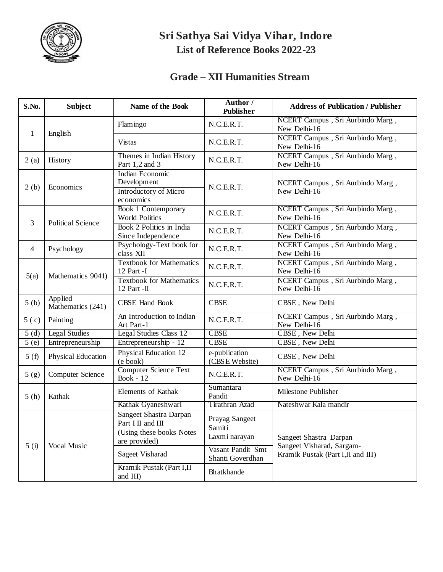

## **Grade – XII Humanities Stream**

| S.No.            | <b>Subject</b>               | Name of the Book                                                                         | Author /<br>Publisher                     | <b>Address of Publication / Publisher</b>           |
|------------------|------------------------------|------------------------------------------------------------------------------------------|-------------------------------------------|-----------------------------------------------------|
| $\mathbf{1}$     | English                      | Flamingo                                                                                 | N.C.E.R.T.                                | NCERT Campus, Sri Aurbindo Marg,<br>New Delhi-16    |
|                  |                              | <b>Vistas</b>                                                                            | N.C.E.R.T.                                | NCERT Campus, Sri Aurbindo Marg,<br>New Delhi-16    |
| 2(a)             | History                      | Themes in Indian History<br>Part 1,2 and 3                                               | N.C.E.R.T.                                | NCERT Campus, Sri Aurbindo Marg,<br>New Delhi-16    |
| 2(b)             | Economics                    | Indian Economic<br>Development<br>Introductory of Micro<br>economics                     | N.C.E.R.T.                                | NCERT Campus, Sri Aurbindo Marg,<br>New Delhi-16    |
| 3                | <b>Political Science</b>     | <b>Book 1 Contemporary</b><br><b>World Politics</b>                                      | N.C.E.R.T.                                | NCERT Campus, Sri Aurbindo Marg,<br>New Delhi-16    |
|                  |                              | Book 2 Politics in India<br>Since Independence                                           | N.C.E.R.T.                                | NCERT Campus, Sri Aurbindo Marg,<br>New Delhi-16    |
| $\overline{4}$   | Psychology                   | Psychology-Text book for<br>class XII                                                    | N.C.E.R.T.                                | NCERT Campus, Sri Aurbindo Marg,<br>New Delhi-16    |
| 5(a)             | Mathematics 9041)            | <b>Textbook for Mathematics</b><br>12 Part -I                                            | N.C.E.R.T.                                | NCERT Campus, Sri Aurbindo Marg,<br>New Delhi-16    |
|                  |                              | <b>Textbook for Mathematics</b><br>12 Part -II                                           | N.C.E.R.T.                                | NCERT Campus, Sri Aurbindo Marg,<br>New Delhi-16    |
| 5(b)             | Applied<br>Mathematics (241) | <b>CBSE Hand Book</b>                                                                    | <b>CBSE</b>                               | CBSE, New Delhi                                     |
| 5 <sub>(c)</sub> | Painting                     | An Introduction to Indian<br>Art Part-1                                                  | N.C.E.R.T.                                | NCERT Campus, Sri Aurbindo Marg,<br>New Delhi-16    |
| 5(d)             | <b>Legal Studies</b>         | Legal Studies Class 12                                                                   | <b>CBSE</b>                               | CBSE, New Delhi                                     |
| 5(e)             | Entrepreneurship             | Entrepreneurship - 12                                                                    | <b>CBSE</b>                               | CBSE, New Delhi                                     |
| 5(f)             | Physical Education           | Physical Education 12<br>(e book)                                                        | e-publication<br>(CBSE Website)           | CBSE, New Delhi                                     |
| 5(g)             | Computer Science             | <b>Computer Science Text</b><br><b>Book</b> - 12                                         | N.C.E.R.T.                                | NCERT Campus, Sri Aurbindo Marg,<br>New Delhi-16    |
| 5(h)             | Kathak                       | Elements of Kathak                                                                       | Sumantara<br>Pandit                       | Milestone Publisher                                 |
|                  |                              | Kathak Gyaneshwari                                                                       | Tirathran Azad                            | Nateshwar Kala mandir                               |
| 5(i)             | Vocal Music                  | Sangeet Shastra Darpan<br>Part I II and III<br>(Using these books Notes<br>are provided) | Prayag Sangeet<br>Samiti<br>Laxmi narayan | Sangeet Shastra Darpan<br>Sangeet Visharad, Sargam- |
|                  |                              | Sageet Visharad                                                                          | Vasant Pandit Smt<br>Shanti Goverdhan     | Kramik Pustak (Part I, II and III)                  |
|                  |                              | Kramik Pustak (Part I,II<br>and III)                                                     | Bhatkhande                                |                                                     |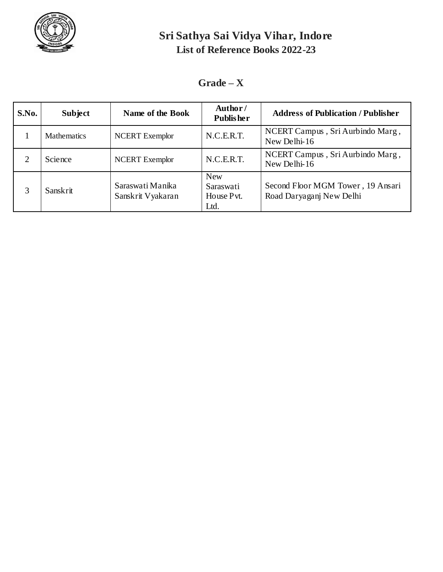

### $Grade - X$

| S.No. | <b>Subject</b>     | Name of the Book                      | Author/<br><b>Publisher</b>                   | <b>Address of Publication / Publisher</b>                     |
|-------|--------------------|---------------------------------------|-----------------------------------------------|---------------------------------------------------------------|
|       | <b>Mathematics</b> | <b>NCERT</b> Exemplor                 | N.C.E.R.T.                                    | NCERT Campus, Sri Aurbindo Marg,<br>New Delhi-16              |
|       | Science            | <b>NCERT</b> Exemplor                 | N.C.E.R.T.                                    | NCERT Campus, Sri Aurbindo Marg,<br>New Delhi-16              |
|       | <b>Sanskrit</b>    | Saraswati Manika<br>Sanskrit Vyakaran | <b>New</b><br>Saraswati<br>House Pvt.<br>Ltd. | Second Floor MGM Tower, 19 Ansari<br>Road Daryaganj New Delhi |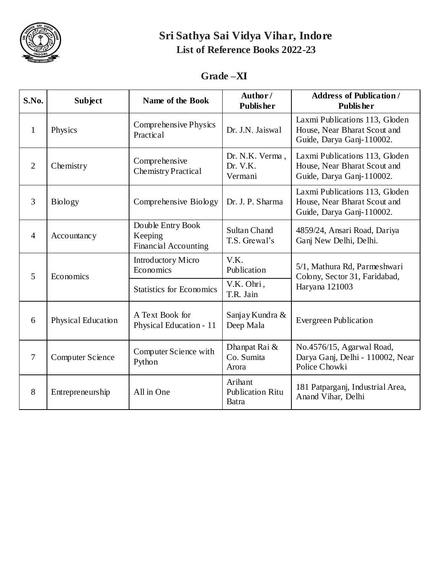

#### **Grade –XI**

| S.No.          | <b>Subject</b>          | <b>Name of the Book</b>                              | Author/<br><b>Publisher</b>                 | <b>Address of Publication /</b><br><b>Publisher</b>                                         |
|----------------|-------------------------|------------------------------------------------------|---------------------------------------------|---------------------------------------------------------------------------------------------|
| $\mathbf{1}$   | Physics                 | Comprehensive Physics<br>Practical                   | Dr. J.N. Jaiswal                            | Laxmi Publications 113, Gloden<br>House, Near Bharat Scout and<br>Guide, Darya Ganj-110002. |
| 2              | Chemistry               | Comprehensive<br><b>Chemistry Practical</b>          | Dr. N.K. Verma,<br>Dr. V.K.<br>Vermani      | Laxmi Publications 113, Gloden<br>House, Near Bharat Scout and<br>Guide, Darya Ganj-110002. |
| $\overline{3}$ | <b>Biology</b>          | Comprehensive Biology                                | Dr. J. P. Sharma                            | Laxmi Publications 113, Gloden<br>House, Near Bharat Scout and<br>Guide, Darya Ganj-110002. |
| $\overline{4}$ | Accountancy             | Double Entry Book<br>Keeping<br>Financial Accounting | <b>Sultan Chand</b><br>T.S. Grewal's        | 4859/24, Ansari Road, Dariya<br>Ganj New Delhi, Delhi.                                      |
| 5              | Economics               | <b>Introductory Micro</b><br>Economics               | V.K.<br>Publication                         | 5/1, Mathura Rd, Parmeshwari<br>Colony, Sector 31, Faridabad,                               |
|                |                         | <b>Statistics for Economics</b>                      | V.K. Ohri,<br>T.R. Jain                     | Haryana 121003                                                                              |
| 6              | Physical Education      | A Text Book for<br>Physical Education - 11           | Sanjay Kundra &<br>Deep Mala                | <b>Evergreen Publication</b>                                                                |
| $\overline{7}$ | <b>Computer Science</b> | Computer Science with<br>Python                      | Dhanpat Rai &<br>Co. Sumita<br>Arora        | No.4576/15, Agarwal Road,<br>Darya Ganj, Delhi - 110002, Near<br>Police Chowki              |
| 8              | Entrepreneurship        | All in One                                           | Arihant<br><b>Publication Ritu</b><br>Batra | 181 Patparganj, Industrial Area,<br>Anand Vihar, Delhi                                      |